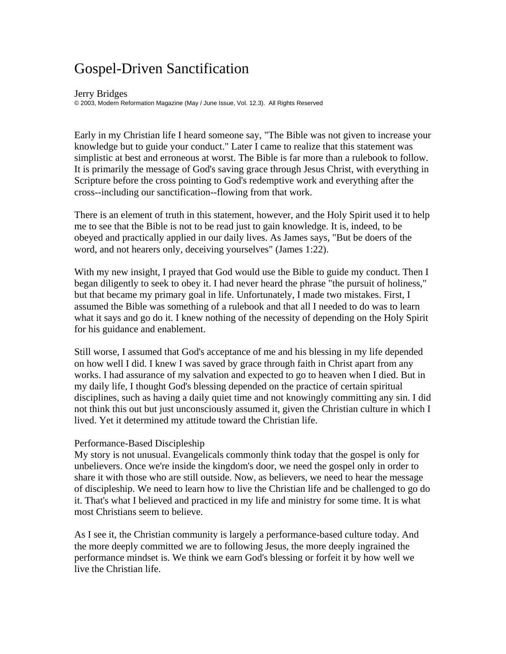# Gospel-Driven Sanctification

#### Jerry Bridges

© 2003, Modern Reformation Magazine (May / June Issue, Vol. 12.3). All Rights Reserved

Early in my Christian life I heard someone say, "The Bible was not given to increase your knowledge but to guide your conduct." Later I came to realize that this statement was simplistic at best and erroneous at worst. The Bible is far more than a rulebook to follow. It is primarily the message of God's saving grace through Jesus Christ, with everything in Scripture before the cross pointing to God's redemptive work and everything after the cross--including our sanctification--flowing from that work.

There is an element of truth in this statement, however, and the Holy Spirit used it to help me to see that the Bible is not to be read just to gain knowledge. It is, indeed, to be obeyed and practically applied in our daily lives. As James says, "But be doers of the word, and not hearers only, deceiving yourselves" (James 1:22).

With my new insight, I prayed that God would use the Bible to guide my conduct. Then I began diligently to seek to obey it. I had never heard the phrase "the pursuit of holiness," but that became my primary goal in life. Unfortunately, I made two mistakes. First, I assumed the Bible was something of a rulebook and that all I needed to do was to learn what it says and go do it. I knew nothing of the necessity of depending on the Holy Spirit for his guidance and enablement.

Still worse, I assumed that God's acceptance of me and his blessing in my life depended on how well I did. I knew I was saved by grace through faith in Christ apart from any works. I had assurance of my salvation and expected to go to heaven when I died. But in my daily life, I thought God's blessing depended on the practice of certain spiritual disciplines, such as having a daily quiet time and not knowingly committing any sin. I did not think this out but just unconsciously assumed it, given the Christian culture in which I lived. Yet it determined my attitude toward the Christian life.

# Performance-Based Discipleship

My story is not unusual. Evangelicals commonly think today that the gospel is only for unbelievers. Once we're inside the kingdom's door, we need the gospel only in order to share it with those who are still outside. Now, as believers, we need to hear the message of discipleship. We need to learn how to live the Christian life and be challenged to go do it. That's what I believed and practiced in my life and ministry for some time. It is what most Christians seem to believe.

As I see it, the Christian community is largely a performance-based culture today. And the more deeply committed we are to following Jesus, the more deeply ingrained the performance mindset is. We think we earn God's blessing or forfeit it by how well we live the Christian life.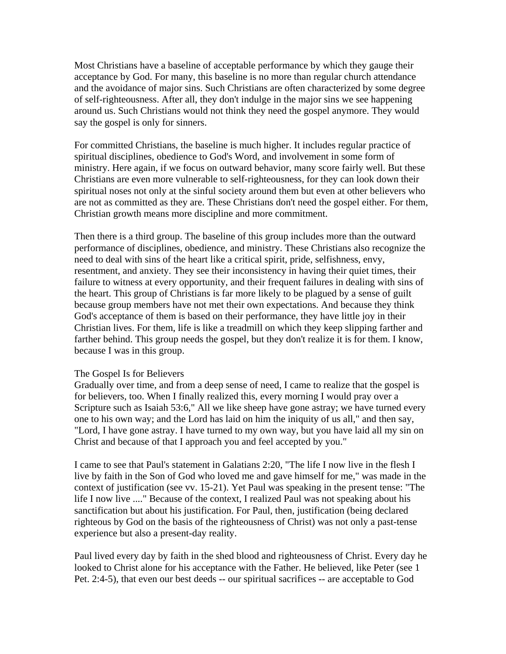Most Christians have a baseline of acceptable performance by which they gauge their acceptance by God. For many, this baseline is no more than regular church attendance and the avoidance of major sins. Such Christians are often characterized by some degree of self-righteousness. After all, they don't indulge in the major sins we see happening around us. Such Christians would not think they need the gospel anymore. They would say the gospel is only for sinners.

For committed Christians, the baseline is much higher. It includes regular practice of spiritual disciplines, obedience to God's Word, and involvement in some form of ministry. Here again, if we focus on outward behavior, many score fairly well. But these Christians are even more vulnerable to self-righteousness, for they can look down their spiritual noses not only at the sinful society around them but even at other believers who are not as committed as they are. These Christians don't need the gospel either. For them, Christian growth means more discipline and more commitment.

Then there is a third group. The baseline of this group includes more than the outward performance of disciplines, obedience, and ministry. These Christians also recognize the need to deal with sins of the heart like a critical spirit, pride, selfishness, envy, resentment, and anxiety. They see their inconsistency in having their quiet times, their failure to witness at every opportunity, and their frequent failures in dealing with sins of the heart. This group of Christians is far more likely to be plagued by a sense of guilt because group members have not met their own expectations. And because they think God's acceptance of them is based on their performance, they have little joy in their Christian lives. For them, life is like a treadmill on which they keep slipping farther and farther behind. This group needs the gospel, but they don't realize it is for them. I know, because I was in this group.

### The Gospel Is for Believers

Gradually over time, and from a deep sense of need, I came to realize that the gospel is for believers, too. When I finally realized this, every morning I would pray over a Scripture such as Isaiah 53:6," All we like sheep have gone astray; we have turned every one to his own way; and the Lord has laid on him the iniquity of us all," and then say, "Lord, I have gone astray. I have turned to my own way, but you have laid all my sin on Christ and because of that I approach you and feel accepted by you."

I came to see that Paul's statement in Galatians 2:20, "The life I now live in the flesh I live by faith in the Son of God who loved me and gave himself for me," was made in the context of justification (see vv. 15-21). Yet Paul was speaking in the present tense: "The life I now live ...." Because of the context, I realized Paul was not speaking about his sanctification but about his justification. For Paul, then, justification (being declared righteous by God on the basis of the righteousness of Christ) was not only a past-tense experience but also a present-day reality.

Paul lived every day by faith in the shed blood and righteousness of Christ. Every day he looked to Christ alone for his acceptance with the Father. He believed, like Peter (see 1 Pet. 2:4-5), that even our best deeds -- our spiritual sacrifices -- are acceptable to God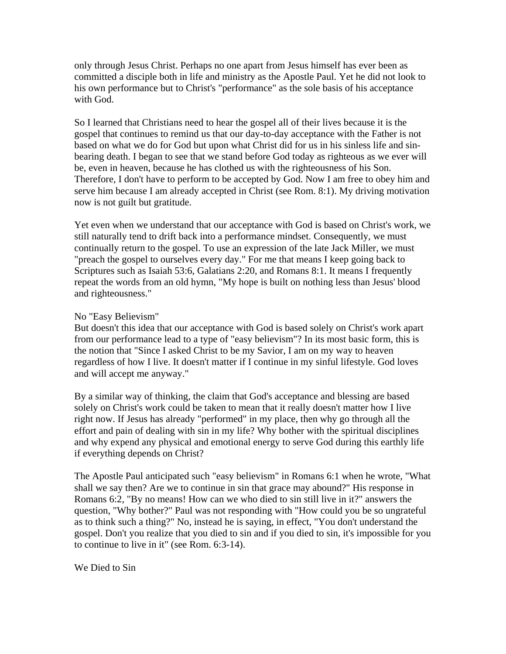only through Jesus Christ. Perhaps no one apart from Jesus himself has ever been as committed a disciple both in life and ministry as the Apostle Paul. Yet he did not look to his own performance but to Christ's "performance" as the sole basis of his acceptance with God.

So I learned that Christians need to hear the gospel all of their lives because it is the gospel that continues to remind us that our day-to-day acceptance with the Father is not based on what we do for God but upon what Christ did for us in his sinless life and sinbearing death. I began to see that we stand before God today as righteous as we ever will be, even in heaven, because he has clothed us with the righteousness of his Son. Therefore, I don't have to perform to be accepted by God. Now I am free to obey him and serve him because I am already accepted in Christ (see Rom. 8:1). My driving motivation now is not guilt but gratitude.

Yet even when we understand that our acceptance with God is based on Christ's work, we still naturally tend to drift back into a performance mindset. Consequently, we must continually return to the gospel. To use an expression of the late Jack Miller, we must "preach the gospel to ourselves every day." For me that means I keep going back to Scriptures such as Isaiah 53:6, Galatians 2:20, and Romans 8:1. It means I frequently repeat the words from an old hymn, "My hope is built on nothing less than Jesus' blood and righteousness."

# No "Easy Believism"

But doesn't this idea that our acceptance with God is based solely on Christ's work apart from our performance lead to a type of "easy believism"? In its most basic form, this is the notion that "Since I asked Christ to be my Savior, I am on my way to heaven regardless of how I live. It doesn't matter if I continue in my sinful lifestyle. God loves and will accept me anyway."

By a similar way of thinking, the claim that God's acceptance and blessing are based solely on Christ's work could be taken to mean that it really doesn't matter how I live right now. If Jesus has already "performed" in my place, then why go through all the effort and pain of dealing with sin in my life? Why bother with the spiritual disciplines and why expend any physical and emotional energy to serve God during this earthly life if everything depends on Christ?

The Apostle Paul anticipated such "easy believism" in Romans 6:1 when he wrote, "What shall we say then? Are we to continue in sin that grace may abound?" His response in Romans 6:2, "By no means! How can we who died to sin still live in it?" answers the question, "Why bother?" Paul was not responding with "How could you be so ungrateful as to think such a thing?" No, instead he is saying, in effect, "You don't understand the gospel. Don't you realize that you died to sin and if you died to sin, it's impossible for you to continue to live in it" (see Rom. 6:3-14).

# We Died to Sin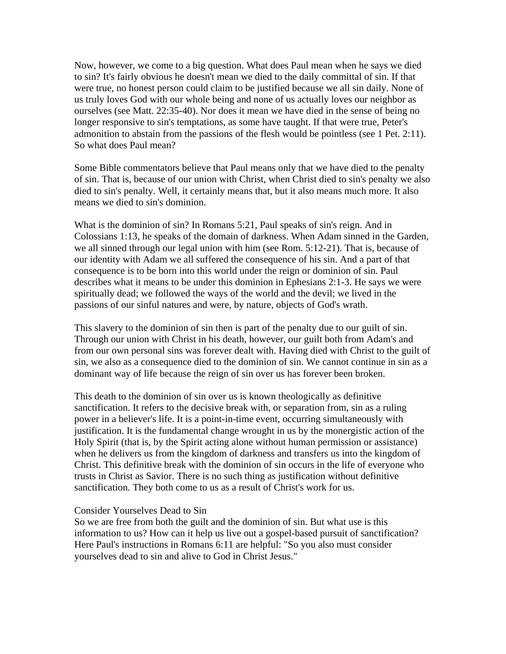Now, however, we come to a big question. What does Paul mean when he says we died to sin? It's fairly obvious he doesn't mean we died to the daily committal of sin. If that were true, no honest person could claim to be justified because we all sin daily. None of us truly loves God with our whole being and none of us actually loves our neighbor as ourselves (see Matt. 22:35-40). Nor does it mean we have died in the sense of being no longer responsive to sin's temptations, as some have taught. If that were true, Peter's admonition to abstain from the passions of the flesh would be pointless (see 1 Pet. 2:11). So what does Paul mean?

Some Bible commentators believe that Paul means only that we have died to the penalty of sin. That is, because of our union with Christ, when Christ died to sin's penalty we also died to sin's penalty. Well, it certainly means that, but it also means much more. It also means we died to sin's dominion.

What is the dominion of sin? In Romans 5:21, Paul speaks of sin's reign. And in Colossians 1:13, he speaks of the domain of darkness. When Adam sinned in the Garden, we all sinned through our legal union with him (see Rom. 5:12-21). That is, because of our identity with Adam we all suffered the consequence of his sin. And a part of that consequence is to be born into this world under the reign or dominion of sin. Paul describes what it means to be under this dominion in Ephesians 2:1-3. He says we were spiritually dead; we followed the ways of the world and the devil; we lived in the passions of our sinful natures and were, by nature, objects of God's wrath.

This slavery to the dominion of sin then is part of the penalty due to our guilt of sin. Through our union with Christ in his death, however, our guilt both from Adam's and from our own personal sins was forever dealt with. Having died with Christ to the guilt of sin, we also as a consequence died to the dominion of sin. We cannot continue in sin as a dominant way of life because the reign of sin over us has forever been broken.

This death to the dominion of sin over us is known theologically as definitive sanctification. It refers to the decisive break with, or separation from, sin as a ruling power in a believer's life. It is a point-in-time event, occurring simultaneously with justification. It is the fundamental change wrought in us by the monergistic action of the Holy Spirit (that is, by the Spirit acting alone without human permission or assistance) when he delivers us from the kingdom of darkness and transfers us into the kingdom of Christ. This definitive break with the dominion of sin occurs in the life of everyone who trusts in Christ as Savior. There is no such thing as justification without definitive sanctification. They both come to us as a result of Christ's work for us.

#### Consider Yourselves Dead to Sin

So we are free from both the guilt and the dominion of sin. But what use is this information to us? How can it help us live out a gospel-based pursuit of sanctification? Here Paul's instructions in Romans 6:11 are helpful: "So you also must consider yourselves dead to sin and alive to God in Christ Jesus."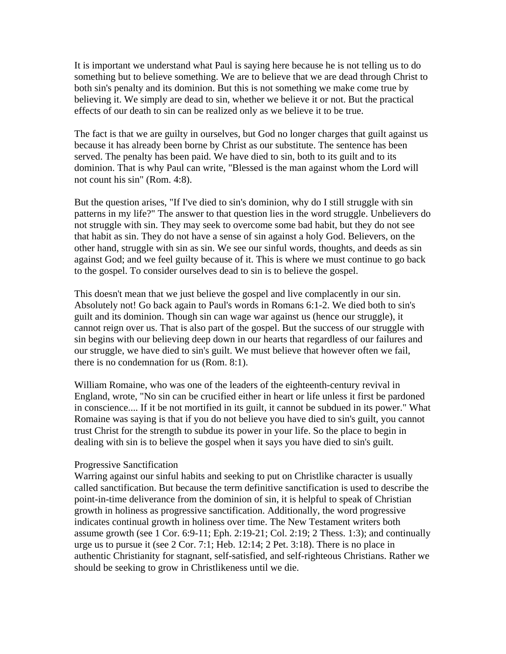It is important we understand what Paul is saying here because he is not telling us to do something but to believe something. We are to believe that we are dead through Christ to both sin's penalty and its dominion. But this is not something we make come true by believing it. We simply are dead to sin, whether we believe it or not. But the practical effects of our death to sin can be realized only as we believe it to be true.

The fact is that we are guilty in ourselves, but God no longer charges that guilt against us because it has already been borne by Christ as our substitute. The sentence has been served. The penalty has been paid. We have died to sin, both to its guilt and to its dominion. That is why Paul can write, "Blessed is the man against whom the Lord will not count his sin" (Rom. 4:8).

But the question arises, "If I've died to sin's dominion, why do I still struggle with sin patterns in my life?" The answer to that question lies in the word struggle. Unbelievers do not struggle with sin. They may seek to overcome some bad habit, but they do not see that habit as sin. They do not have a sense of sin against a holy God. Believers, on the other hand, struggle with sin as sin. We see our sinful words, thoughts, and deeds as sin against God; and we feel guilty because of it. This is where we must continue to go back to the gospel. To consider ourselves dead to sin is to believe the gospel.

This doesn't mean that we just believe the gospel and live complacently in our sin. Absolutely not! Go back again to Paul's words in Romans 6:1-2. We died both to sin's guilt and its dominion. Though sin can wage war against us (hence our struggle), it cannot reign over us. That is also part of the gospel. But the success of our struggle with sin begins with our believing deep down in our hearts that regardless of our failures and our struggle, we have died to sin's guilt. We must believe that however often we fail, there is no condemnation for us (Rom. 8:1).

William Romaine, who was one of the leaders of the eighteenth-century revival in England, wrote, "No sin can be crucified either in heart or life unless it first be pardoned in conscience.... If it be not mortified in its guilt, it cannot be subdued in its power." What Romaine was saying is that if you do not believe you have died to sin's guilt, you cannot trust Christ for the strength to subdue its power in your life. So the place to begin in dealing with sin is to believe the gospel when it says you have died to sin's guilt.

### Progressive Sanctification

Warring against our sinful habits and seeking to put on Christlike character is usually called sanctification. But because the term definitive sanctification is used to describe the point-in-time deliverance from the dominion of sin, it is helpful to speak of Christian growth in holiness as progressive sanctification. Additionally, the word progressive indicates continual growth in holiness over time. The New Testament writers both assume growth (see 1 Cor. 6:9-11; Eph. 2:19-21; Col. 2:19; 2 Thess. 1:3); and continually urge us to pursue it (see 2 Cor. 7:1; Heb. 12:14; 2 Pet. 3:18). There is no place in authentic Christianity for stagnant, self-satisfied, and self-righteous Christians. Rather we should be seeking to grow in Christlikeness until we die.